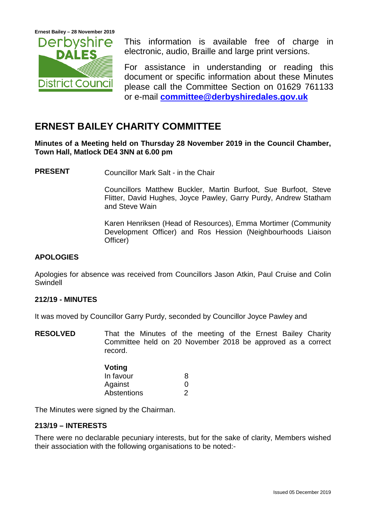



This information is available free of charge in electronic, audio, Braille and large print versions.

For assistance in understanding or reading this document or specific information about these Minutes please call the Committee Section on 01629 761133 or e-mail **[committee@derbyshiredales.gov.uk](mailto:committee@derbyshiredales.gov.uk)**

# **ERNEST BAILEY CHARITY COMMITTEE**

**Minutes of a Meeting held on Thursday 28 November 2019 in the Council Chamber, Town Hall, Matlock DE4 3NN at 6.00 pm**

**PRESENT** Councillor Mark Salt - in the Chair

Councillors Matthew Buckler, Martin Burfoot, Sue Burfoot, Steve Flitter, David Hughes, Joyce Pawley, Garry Purdy, Andrew Statham and Steve Wain

Karen Henriksen (Head of Resources), Emma Mortimer (Community Development Officer) and Ros Hession (Neighbourhoods Liaison Officer)

# **APOLOGIES**

Apologies for absence was received from Councillors Jason Atkin, Paul Cruise and Colin Swindell

# **212/19 - MINUTES**

It was moved by Councillor Garry Purdy, seconded by Councillor Joyce Pawley and

**RESOLVED** That the Minutes of the meeting of the Ernest Bailey Charity Committee held on 20 November 2018 be approved as a correct record.

| Voting      |   |
|-------------|---|
| In favour   | 8 |
| Against     | O |
| Abstentions |   |

The Minutes were signed by the Chairman.

# **213/19 – INTERESTS**

There were no declarable pecuniary interests, but for the sake of clarity, Members wished their association with the following organisations to be noted:-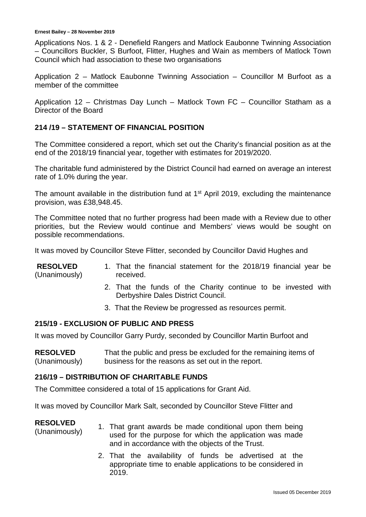#### **Ernest Bailey – 28 November 2019**

Applications Nos. 1 & 2 - Denefield Rangers and Matlock Eaubonne Twinning Association – Councillors Buckler, S Burfoot, Flitter, Hughes and Wain as members of Matlock Town Council which had association to these two organisations

Application 2 – Matlock Eaubonne Twinning Association – Councillor M Burfoot as a member of the committee

Application 12 – Christmas Day Lunch – Matlock Town FC – Councillor Statham as a Director of the Board

# **214 /19 – STATEMENT OF FINANCIAL POSITION**

The Committee considered a report, which set out the Charity's financial position as at the end of the 2018/19 financial year, together with estimates for 2019/2020.

The charitable fund administered by the District Council had earned on average an interest rate of 1.0% during the year.

The amount available in the distribution fund at  $1<sup>st</sup>$  April 2019, excluding the maintenance provision, was £38,948.45.

The Committee noted that no further progress had been made with a Review due to other priorities, but the Review would continue and Members' views would be sought on possible recommendations.

It was moved by Councillor Steve Flitter, seconded by Councillor David Hughes and

| <b>RESOLVED</b> |           |  | 1. That the financial statement for the 2018/19 financial year be |  |  |  |
|-----------------|-----------|--|-------------------------------------------------------------------|--|--|--|
| (Unanimously)   | received. |  |                                                                   |  |  |  |

- 2. That the funds of the Charity continue to be invested with Derbyshire Dales District Council.
- 3. That the Review be progressed as resources permit.

# **215/19 - EXCLUSION OF PUBLIC AND PRESS**

It was moved by Councillor Garry Purdy, seconded by Councillor Martin Burfoot and

**RESOLVED** (Unanimously) That the public and press be excluded for the remaining items of business for the reasons as set out in the report.

# **216/19 – DISTRIBUTION OF CHARITABLE FUNDS**

The Committee considered a total of 15 applications for Grant Aid.

It was moved by Councillor Mark Salt, seconded by Councillor Steve Flitter and

#### **RESOLVED**

- (Unanimously) 1. That grant awards be made conditional upon them being used for the purpose for which the application was made and in accordance with the objects of the Trust.
	- 2. That the availability of funds be advertised at the appropriate time to enable applications to be considered in 2019.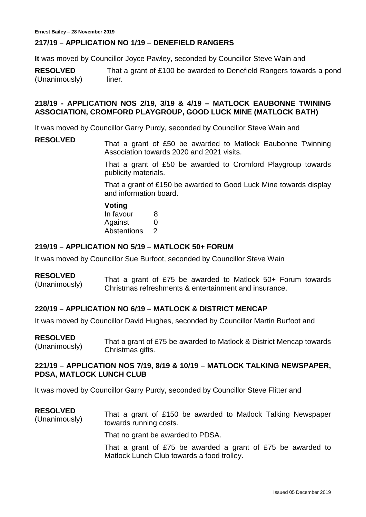# **217/19 – APPLICATION NO 1/19 – DENEFIELD RANGERS**

**It** was moved by Councillor Joyce Pawley, seconded by Councillor Steve Wain and

**RESOLVED** (Unanimously) That a grant of £100 be awarded to Denefield Rangers towards a pond liner.

# **218/19 - APPLICATION NOS 2/19, 3/19 & 4/19 – MATLOCK EAUBONNE TWINING ASSOCIATION, CROMFORD PLAYGROUP, GOOD LUCK MINE (MATLOCK BATH)**

It was moved by Councillor Garry Purdy, seconded by Councillor Steve Wain and

**RESOLVED** That a grant of £50 be awarded to Matlock Eaubonne Twinning Association towards 2020 and 2021 visits.

> That a grant of £50 be awarded to Cromford Playgroup towards publicity materials.

> That a grant of £150 be awarded to Good Luck Mine towards display and information board.

**Voting** In favour 8 Against 0 Abstentions 2

# **219/19 – APPLICATION NO 5/19 – MATLOCK 50+ FORUM**

It was moved by Councillor Sue Burfoot, seconded by Councillor Steve Wain

#### **RESOLVED**

(Unanimously) That a grant of £75 be awarded to Matlock 50+ Forum towards Christmas refreshments & entertainment and insurance.

### **220/19 – APPLICATION NO 6/19 – MATLOCK & DISTRICT MENCAP**

It was moved by Councillor David Hughes, seconded by Councillor Martin Burfoot and

**RESOLVED** RESULVED<br>(Unanimously) That a grant of £75 be awarded to Matlock & District Mencap towards Christmas gifts.

# **221/19 – APPLICATION NOS 7/19, 8/19 & 10/19 – MATLOCK TALKING NEWSPAPER, PDSA, MATLOCK LUNCH CLUB**

It was moved by Councillor Garry Purdy, seconded by Councillor Steve Flitter and

**RESOLVED** RESULVED<br>(Unanimously) That a grant of £150 be awarded to Matlock Talking Newspaper towards running costs.

That no grant be awarded to PDSA.

That a grant of £75 be awarded a grant of £75 be awarded to Matlock Lunch Club towards a food trolley.